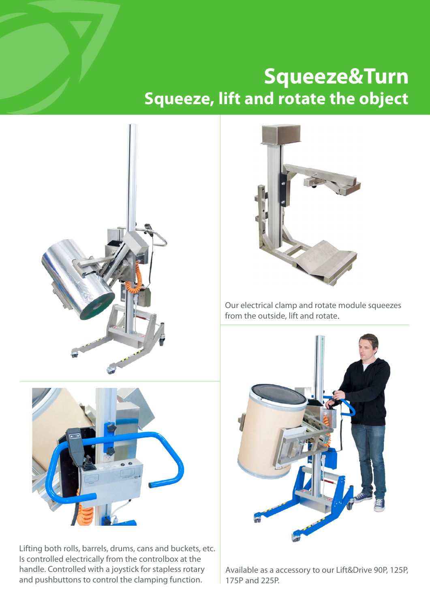## **Squeeze&Turn Squeeze, lift and rotate the object**





Lifting both rolls, barrels, drums, cans and buckets, etc. Is controlled electrically from the controlbox at the handle. Controlled with a joystick for stapless rotary and pushbuttons to control the clamping function.



Our electrical clamp and rotate module squeezes from the outside, lift and rotate.



Available as a accessory to our Lift&Drive 90P, 125P, 175P and 225P.